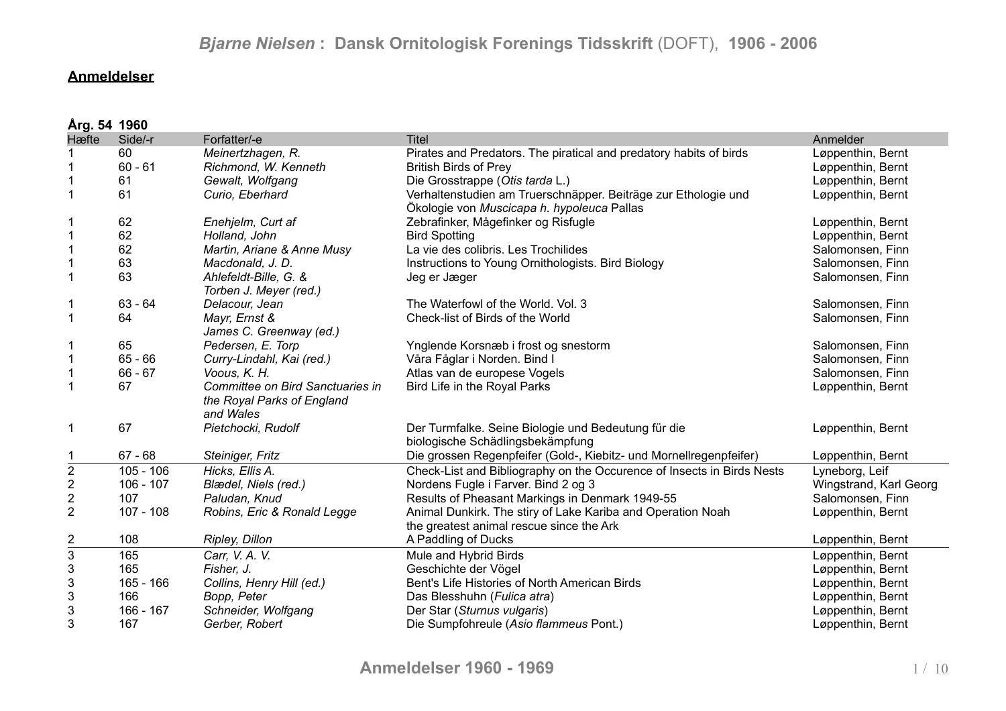### **Anmeldelser**

|                           | Årg. 54 1960 |                                                                             |                                                                                                              |                        |  |  |
|---------------------------|--------------|-----------------------------------------------------------------------------|--------------------------------------------------------------------------------------------------------------|------------------------|--|--|
| Hæfte                     | Side/-r      | Forfatter/-e                                                                | <b>Titel</b>                                                                                                 | Anmelder               |  |  |
|                           | 60           | Meinertzhagen, R.                                                           | Pirates and Predators. The piratical and predatory habits of birds                                           | Løppenthin, Bernt      |  |  |
|                           | $60 - 61$    | Richmond, W. Kenneth                                                        | <b>British Birds of Prey</b>                                                                                 | Løppenthin, Bernt      |  |  |
| 1                         | 61           | Gewalt, Wolfgang                                                            | Die Grosstrappe (Otis tarda L.)                                                                              | Løppenthin, Bernt      |  |  |
| 1                         | 61           | Curio, Eberhard                                                             | Verhaltenstudien am Truerschnäpper. Beiträge zur Ethologie und<br>Ökologie von Muscicapa h. hypoleuca Pallas | Løppenthin, Bernt      |  |  |
| 1                         | 62           | Enehjelm, Curt af                                                           | Zebrafinker, Mågefinker og Risfugle                                                                          | Løppenthin, Bernt      |  |  |
| $\mathbf 1$               | 62           | Holland, John                                                               | <b>Bird Spotting</b>                                                                                         | Løppenthin, Bernt      |  |  |
| $\mathbf 1$               | 62           | Martin, Ariane & Anne Musy                                                  | La vie des colibris. Les Trochilides                                                                         | Salomonsen, Finn       |  |  |
| $\mathbf 1$               | 63           | Macdonald, J. D.                                                            | Instructions to Young Ornithologists. Bird Biology                                                           | Salomonsen, Finn       |  |  |
| 1                         | 63           | Ahlefeldt-Bille, G. &<br>Torben J. Meyer (red.)                             | Jeg er Jæger                                                                                                 | Salomonsen, Finn       |  |  |
| 1                         | $63 - 64$    | Delacour, Jean                                                              | The Waterfowl of the World. Vol. 3                                                                           | Salomonsen, Finn       |  |  |
| $\mathbf{1}$              | 64           | Mayr, Ernst &<br>James C. Greenway (ed.)                                    | Check-list of Birds of the World                                                                             | Salomonsen, Finn       |  |  |
| 1                         | 65           | Pedersen, E. Torp                                                           | Ynglende Korsnæb i frost og snestorm                                                                         | Salomonsen, Finn       |  |  |
| $\mathbf{1}$              | $65 - 66$    | Curry-Lindahl, Kai (red.)                                                   | Våra Fåglar i Norden. Bind I                                                                                 | Salomonsen, Finn       |  |  |
| $\mathbf 1$               | $66 - 67$    | Voous, K. H.                                                                | Atlas van de europese Vogels                                                                                 | Salomonsen, Finn       |  |  |
| $\mathbf{1}$              | 67           | Committee on Bird Sanctuaries in<br>the Royal Parks of England<br>and Wales | Bird Life in the Royal Parks                                                                                 | Løppenthin, Bernt      |  |  |
| 1                         | 67           | Pietchocki, Rudolf                                                          | Der Turmfalke. Seine Biologie und Bedeutung für die<br>biologische Schädlingsbekämpfung                      | Løppenthin, Bernt      |  |  |
|                           | $67 - 68$    | Steiniger, Fritz                                                            | Die grossen Regenpfeifer (Gold-, Kiebitz- und Mornellregenpfeifer)                                           | Løppenthin, Bernt      |  |  |
| $\overline{2}$            | $105 - 106$  | Hicks, Ellis A.                                                             | Check-List and Bibliography on the Occurence of Insects in Birds Nests                                       | Lyneborg, Leif         |  |  |
| $\overline{\mathbf{c}}$   | $106 - 107$  | Blædel, Niels (red.)                                                        | Nordens Fugle i Farver. Bind 2 og 3                                                                          | Wingstrand, Karl Georg |  |  |
| $\boldsymbol{2}$          | 107          | Paludan, Knud                                                               | Results of Pheasant Markings in Denmark 1949-55                                                              | Salomonsen, Finn       |  |  |
| $\overline{2}$            | $107 - 108$  | Robins, Eric & Ronald Legge                                                 | Animal Dunkirk. The stiry of Lake Kariba and Operation Noah<br>the greatest animal rescue since the Ark      | Løppenthin, Bernt      |  |  |
| $\overline{\mathbf{c}}$   | 108          | Ripley, Dillon                                                              | A Paddling of Ducks                                                                                          | Løppenthin, Bernt      |  |  |
| $\overline{3}$            | 165          | Carr, V. A. V.                                                              | Mule and Hybrid Birds                                                                                        | Løppenthin, Bernt      |  |  |
| $\ensuremath{\mathsf{3}}$ | 165          | Fisher, J.                                                                  | Geschichte der Vögel                                                                                         | Løppenthin, Bernt      |  |  |
| $\ensuremath{\mathsf{3}}$ | $165 - 166$  | Collins, Henry Hill (ed.)                                                   | Bent's Life Histories of North American Birds                                                                | Løppenthin, Bernt      |  |  |
| $\ensuremath{\mathsf{3}}$ | 166          | Bopp, Peter                                                                 | Das Blesshuhn (Fulica atra)                                                                                  | Løppenthin, Bernt      |  |  |
| $\mathfrak{S}$            | $166 - 167$  | Schneider, Wolfgang                                                         | Der Star (Sturnus vulgaris)                                                                                  | Løppenthin, Bernt      |  |  |
| 3                         | 167          | Gerber, Robert                                                              | Die Sumpfohreule (Asio flammeus Pont.)                                                                       | Løppenthin, Bernt      |  |  |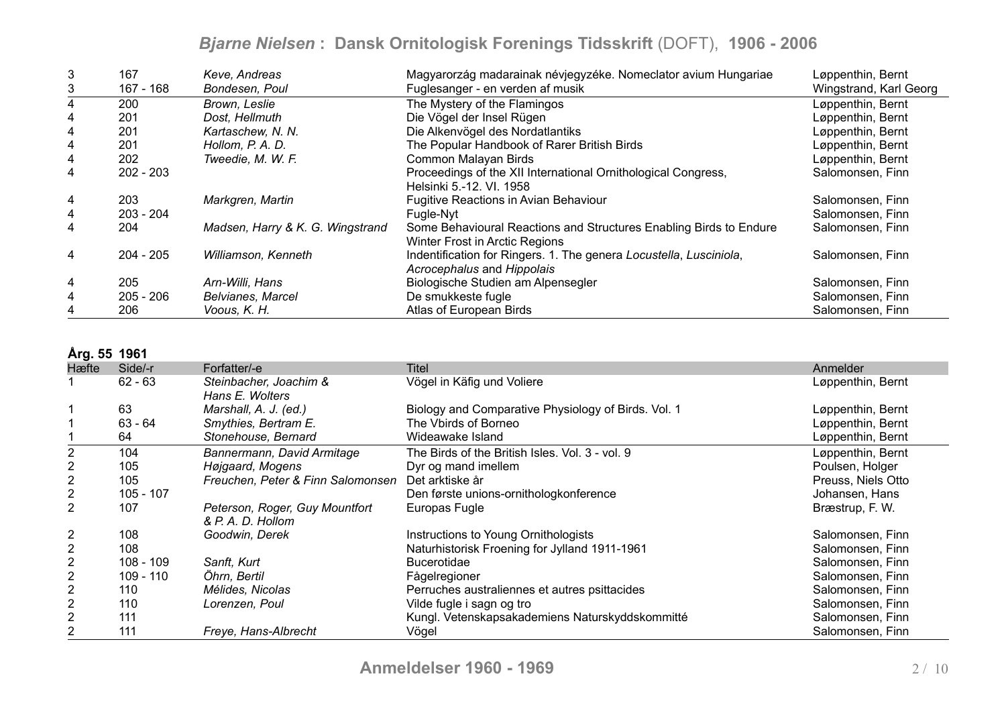| 3              | 167         | Keve, Andreas                    | Magyarorzág madarainak névjegyzéke. Nomeclator avium Hungariae     | Løppenthin, Bernt      |
|----------------|-------------|----------------------------------|--------------------------------------------------------------------|------------------------|
| 3              | $167 - 168$ | Bondesen, Poul                   | Fuglesanger - en verden af musik                                   | Wingstrand, Karl Georg |
| 4              | 200         | Brown, Leslie                    | The Mystery of the Flamingos                                       | Løppenthin, Bernt      |
| 4              | 201         | Dost, Hellmuth                   | Die Vögel der Insel Rügen                                          | Løppenthin, Bernt      |
| 4              | 201         | Kartaschew, N. N.                | Die Alkenvögel des Nordatlantiks                                   | Løppenthin, Bernt      |
| 4              | 201         | Hollom, P. A. D.                 | The Popular Handbook of Rarer British Birds                        | Løppenthin, Bernt      |
| 4              | 202         | Tweedie, M. W. F.                | Common Malayan Birds                                               | Løppenthin, Bernt      |
| 4              | $202 - 203$ |                                  | Proceedings of the XII International Ornithological Congress,      | Salomonsen, Finn       |
|                |             |                                  | Helsinki 5.-12. VI. 1958                                           |                        |
| 4              | 203         | Markgren, Martin                 | Fugitive Reactions in Avian Behaviour                              | Salomonsen, Finn       |
| 4              | $203 - 204$ |                                  | Fugle-Nyt                                                          | Salomonsen, Finn       |
| 4              | 204         | Madsen, Harry & K. G. Wingstrand | Some Behavioural Reactions and Structures Enabling Birds to Endure | Salomonsen, Finn       |
|                |             |                                  | Winter Frost in Arctic Regions                                     |                        |
| $\overline{4}$ | $204 - 205$ | Williamson, Kenneth              | Indentification for Ringers. 1. The genera Locustella, Lusciniola, | Salomonsen, Finn       |
|                |             |                                  | Acrocephalus and Hippolais                                         |                        |
| 4              | 205         | Arn-Willi, Hans                  | Biologische Studien am Alpensegler                                 | Salomonsen, Finn       |
| 4              | $205 - 206$ | <b>Belvianes, Marcel</b>         | De smukkeste fugle                                                 | Salomonsen, Finn       |
| 4              | 206         | Voous, K. H.                     | Atlas of European Birds                                            | Salomonsen, Finn       |

#### **Årg. 55 1961**

| AIY. VV 1991   |             |                                   |                                                     |                    |
|----------------|-------------|-----------------------------------|-----------------------------------------------------|--------------------|
| Hæfte          | Side/-r     | Forfatter/-e                      | Titel                                               | Anmelder           |
|                | $62 - 63$   | Steinbacher, Joachim &            | Vögel in Käfig und Voliere                          | Løppenthin, Bernt  |
|                |             | Hans E. Wolters                   |                                                     |                    |
|                | 63          | Marshall, A. J. (ed.)             | Biology and Comparative Physiology of Birds. Vol. 1 | Løppenthin, Bernt  |
|                | $63 - 64$   | Smythies, Bertram E.              | The Vbirds of Borneo                                | Løppenthin, Bernt  |
|                | 64          | Stonehouse, Bernard               | Wideawake Island                                    | Løppenthin, Bernt  |
| 2              | 104         | Bannermann, David Armitage        | The Birds of the British Isles. Vol. 3 - vol. 9     | Løppenthin, Bernt  |
| 2              | 105         | Højgaard, Mogens                  | Dyr og mand imellem                                 | Poulsen, Holger    |
| $\overline{2}$ | 105         | Freuchen, Peter & Finn Salomonsen | Det arktiske år                                     | Preuss, Niels Otto |
| $\overline{2}$ | $105 - 107$ |                                   | Den første unions-ornithologkonference              | Johansen, Hans     |
| 2              | 107         | Peterson, Roger, Guy Mountfort    | Europas Fugle                                       | Bræstrup, F. W.    |
|                |             | & P. A. D. Hollom                 |                                                     |                    |
| 2              | 108         | Goodwin, Derek                    | Instructions to Young Ornithologists                | Salomonsen, Finn   |
| 2              | 108         |                                   | Naturhistorisk Froening for Jylland 1911-1961       | Salomonsen, Finn   |
| $\overline{2}$ | $108 - 109$ | Sanft, Kurt                       | <b>Bucerotidae</b>                                  | Salomonsen, Finn   |
| $\overline{2}$ | 109 - 110   | Öhrn, Bertil                      | Fågelregioner                                       | Salomonsen, Finn   |
| $\overline{2}$ | 110         | Mélides, Nicolas                  | Perruches australiennes et autres psittacides       | Salomonsen, Finn   |
| $\overline{2}$ | 110         | Lorenzen, Poul                    | Vilde fugle i sagn og tro                           | Salomonsen, Finn   |
| 2              | 111         |                                   | Kungl. Vetenskapsakademiens Naturskyddskommitté     | Salomonsen, Finn   |
| 2              | 111         | Freye, Hans-Albrecht              | Vögel                                               | Salomonsen, Finn   |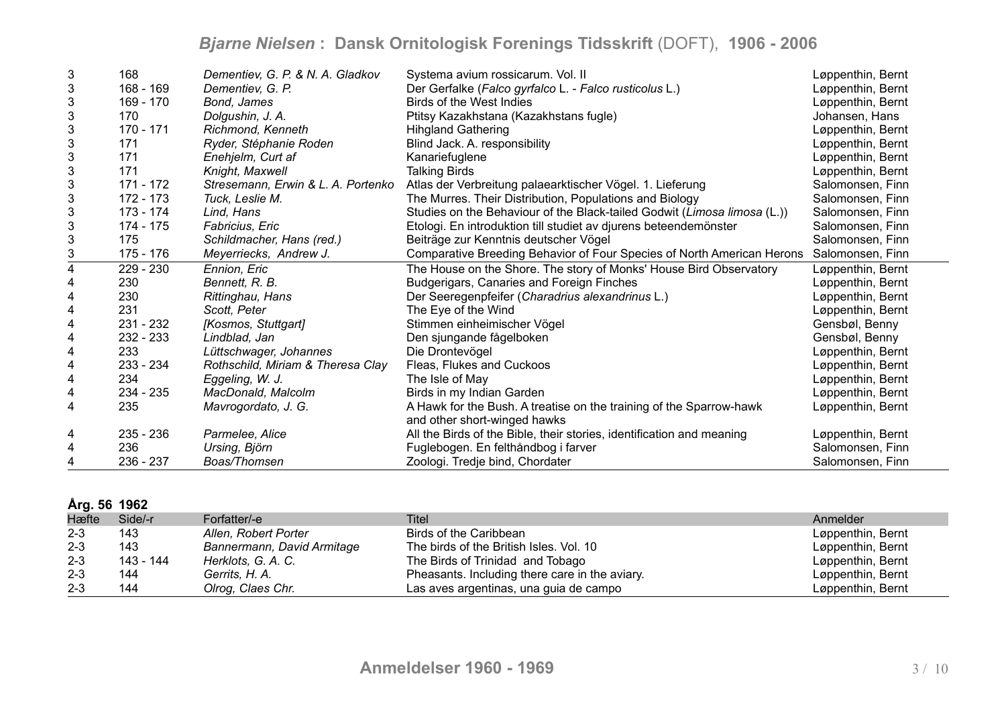| 3            | 168       | Dementiev, G. P. & N. A. Gladkov   | Systema avium rossicarum. Vol. II                                        | Løppenthin, Bernt |
|--------------|-----------|------------------------------------|--------------------------------------------------------------------------|-------------------|
| 3            | 168 - 169 | Dementiev, G. P.                   | Der Gerfalke (Falco gyrfalco L. - Falco rusticolus L.)                   | Løppenthin, Bernt |
| 3            | 169 - 170 | Bond, James                        | Birds of the West Indies                                                 | Løppenthin, Bernt |
| 3            | 170       | Dolgushin, J. A.                   | Ptitsy Kazakhstana (Kazakhstans fugle)                                   | Johansen, Hans    |
| 3            | 170 - 171 | Richmond, Kenneth                  | <b>Hihgland Gathering</b>                                                | Løppenthin, Bernt |
| 3            | 171       | Ryder, Stéphanie Roden             | Blind Jack. A. responsibility                                            | Løppenthin, Bernt |
| 3            | 171       | Enehjelm, Curt af                  | Kanariefuglene                                                           | Løppenthin, Bernt |
| 3            | 171       | Knight, Maxwell                    | <b>Talking Birds</b>                                                     | Løppenthin, Bernt |
| 3            | 171 - 172 | Stresemann, Erwin & L. A. Portenko | Atlas der Verbreitung palaearktischer Vögel. 1. Lieferung                | Salomonsen, Finn  |
| 3            | 172 - 173 | Tuck, Leslie M.                    | The Murres. Their Distribution, Populations and Biology                  | Salomonsen, Finn  |
| $\sqrt{3}$   | 173 - 174 | Lind, Hans                         | Studies on the Behaviour of the Black-tailed Godwit (Limosa limosa (L.)) | Salomonsen, Finn  |
| 3            | 174 - 175 | Fabricius, Eric                    | Etologi. En introduktion till studiet av djurens beteendemönster         | Salomonsen, Finn  |
| $\mathbf{3}$ | 175       | Schildmacher, Hans (red.)          | Beiträge zur Kenntnis deutscher Vögel                                    | Salomonsen, Finn  |
| 3            | 175 - 176 | Meyerriecks, Andrew J.             | Comparative Breeding Behavior of Four Species of North American Herons   | Salomonsen, Finn  |
| 4            | 229 - 230 | Ennion, Eric                       | The House on the Shore. The story of Monks' House Bird Observatory       | Løppenthin, Bernt |
| 4            | 230       | Bennett, R. B.                     | Budgerigars, Canaries and Foreign Finches                                | Løppenthin, Bernt |
| 4            | 230       | Rittinghau, Hans                   | Der Seeregenpfeifer (Charadrius alexandrinus L.)                         | Løppenthin, Bernt |
| 4            | 231       | Scott, Peter                       | The Eye of the Wind                                                      | Løppenthin, Bernt |
| 4            | 231 - 232 | [Kosmos, Stuttgart]                | Stimmen einheimischer Vögel                                              | Gensbøl, Benny    |
| 4            | 232 - 233 | Lindblad, Jan                      | Den sjungande fågelboken                                                 | Gensbøl, Benny    |
| 4            | 233       | Lüttschwager, Johannes             | Die Drontevögel                                                          | Løppenthin, Bernt |
| 4            | 233 - 234 | Rothschild, Miriam & Theresa Clay  | Fleas, Flukes and Cuckoos                                                | Løppenthin, Bernt |
| 4            | 234       | Eggeling, W. J.                    | The Isle of May                                                          | Løppenthin, Bernt |
| 4            | 234 - 235 | MacDonald, Malcolm                 | Birds in my Indian Garden                                                | Løppenthin, Bernt |
| 4            | 235       | Mavrogordato, J. G.                | A Hawk for the Bush. A treatise on the training of the Sparrow-hawk      | Løppenthin, Bernt |
|              |           |                                    | and other short-winged hawks                                             |                   |
| 4            | 235 - 236 | Parmelee, Alice                    | All the Birds of the Bible, their stories, identification and meaning    | Løppenthin, Bernt |
| 4            | 236       | Ursing, Björn                      | Fuglebogen. En felthåndbog i farver                                      | Salomonsen, Finn  |
| 4            | 236 - 237 | Boas/Thomsen                       | Zoologi. Tredje bind, Chordater                                          | Salomonsen, Finn  |

| Årg. 56 1962 |  |  |
|--------------|--|--|
|--------------|--|--|

| $1.1$ M $\vee$ $\vee$ $\vee$ $\vee$ $\cong$ |           |                            |                                                |                   |
|---------------------------------------------|-----------|----------------------------|------------------------------------------------|-------------------|
| Hæfte                                       | Side/-r   | Forfatter/-e               | Titel                                          | Anmelder          |
| $2 - 3$                                     | 143       | Allen, Robert Porter       | Birds of the Caribbean                         | Løppenthin, Bernt |
| $2 - 3$                                     | 143       | Bannermann, David Armitage | The birds of the British Isles. Vol. 10        | Løppenthin, Bernt |
| $2 - 3$                                     | 143 - 144 | Herklots, G. A. C.         | The Birds of Trinidad and Tobago               | Løppenthin, Bernt |
| $2 - 3$                                     | 144       | Gerrits, H. A.             | Pheasants. Including there care in the aviary. | Løppenthin, Bernt |
| $2 - 3$                                     | 144       | Olrog, Claes Chr.          | Las aves argentinas, una guia de campo         | Løppenthin, Bernt |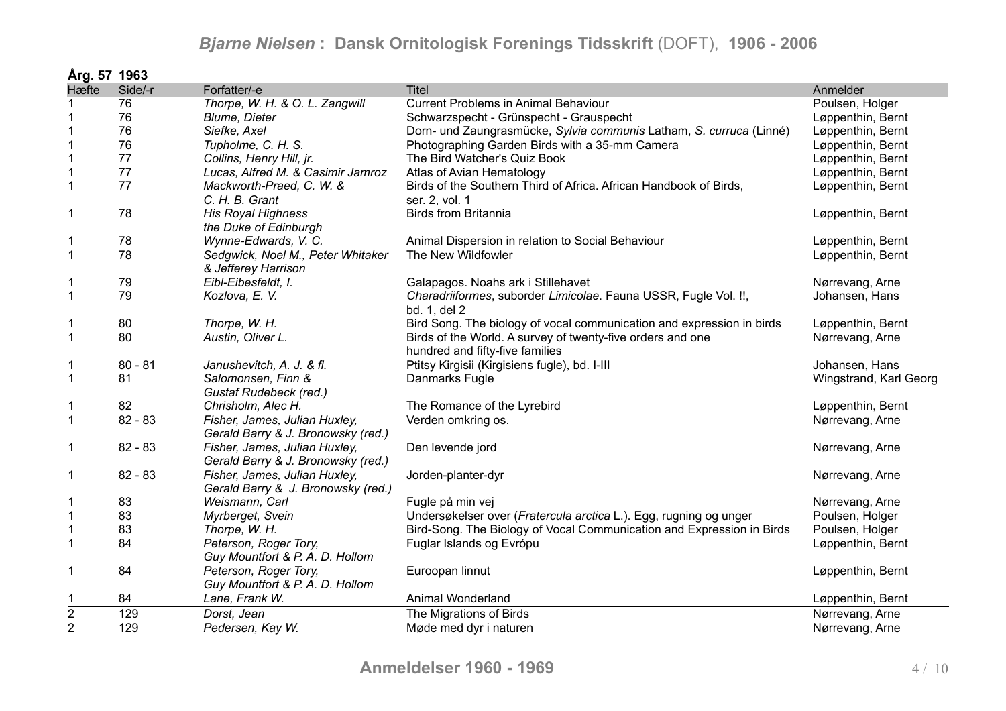| Årg. 57 1963   |           |                                                                     |                                                                                               |                        |
|----------------|-----------|---------------------------------------------------------------------|-----------------------------------------------------------------------------------------------|------------------------|
| Hæfte          | Side/-r   | Forfatter/-e                                                        | <b>Titel</b>                                                                                  | Anmelder               |
|                | 76        | Thorpe, W. H. & O. L. Zangwill                                      | <b>Current Problems in Animal Behaviour</b>                                                   | Poulsen, Holger        |
|                | 76        | <b>Blume, Dieter</b>                                                | Schwarzspecht - Grünspecht - Grauspecht                                                       | Løppenthin, Bernt      |
|                | 76        | Siefke, Axel                                                        | Dorn- und Zaungrasmücke, Sylvia communis Latham, S. curruca (Linné)                           | Løppenthin, Bernt      |
|                | 76        | Tupholme, C. H. S.                                                  | Photographing Garden Birds with a 35-mm Camera                                                | Løppenthin, Bernt      |
| 1              | 77        | Collins, Henry Hill, jr.                                            | The Bird Watcher's Quiz Book                                                                  | Løppenthin, Bernt      |
| $\mathbf 1$    | 77        | Lucas, Alfred M. & Casimir Jamroz                                   | Atlas of Avian Hematology                                                                     | Løppenthin, Bernt      |
| $\mathbf{1}$   | 77        | Mackworth-Praed, C. W. &<br>C. H. B. Grant                          | Birds of the Southern Third of Africa. African Handbook of Birds,<br>ser. 2, vol. 1           | Løppenthin, Bernt      |
| 1              | 78        | <b>His Royal Highness</b><br>the Duke of Edinburgh                  | <b>Birds from Britannia</b>                                                                   | Løppenthin, Bernt      |
| 1              | 78        | Wynne-Edwards, V. C.                                                | Animal Dispersion in relation to Social Behaviour                                             | Løppenthin, Bernt      |
| $\mathbf{1}$   | 78        | Sedgwick, Noel M., Peter Whitaker<br>& Jefferey Harrison            | The New Wildfowler                                                                            | Løppenthin, Bernt      |
| 1              | 79        | Eibl-Eibesfeldt, I.                                                 | Galapagos. Noahs ark i Stillehavet                                                            | Nørrevang, Arne        |
| $\mathbf{1}$   | 79        | Kozlova, E. V.                                                      | Charadriiformes, suborder Limicolae. Fauna USSR, Fugle Vol. !!,<br>bd. 1, del 2               | Johansen, Hans         |
| 1              | 80        | Thorpe, W. H.                                                       | Bird Song. The biology of vocal communication and expression in birds                         | Løppenthin, Bernt      |
| $\mathbf 1$    | 80        | Austin, Oliver L.                                                   | Birds of the World. A survey of twenty-five orders and one<br>hundred and fifty-five families | Nørrevang, Arne        |
| 1              | $80 - 81$ | Janushevitch, A. J. & fl.                                           | Ptitsy Kirgisii (Kirgisiens fugle), bd. I-III                                                 | Johansen, Hans         |
| $\mathbf{1}$   | 81        | Salomonsen, Finn &<br>Gustaf Rudebeck (red.)                        | Danmarks Fugle                                                                                | Wingstrand, Karl Georg |
| 1              | 82        | Chrisholm, Alec H.                                                  | The Romance of the Lyrebird                                                                   | Løppenthin, Bernt      |
| 1              | $82 - 83$ | Fisher, James, Julian Huxley,<br>Gerald Barry & J. Bronowsky (red.) | Verden omkring os.                                                                            | Nørrevang, Arne        |
| 1              | $82 - 83$ | Fisher, James, Julian Huxley,<br>Gerald Barry & J. Bronowsky (red.) | Den levende jord                                                                              | Nørrevang, Arne        |
| 1              | $82 - 83$ | Fisher, James, Julian Huxley,<br>Gerald Barry & J. Bronowsky (red.) | Jorden-planter-dyr                                                                            | Nørrevang, Arne        |
| 1              | 83        | Weismann, Carl                                                      | Fugle på min vej                                                                              | Nørrevang, Arne        |
| $\mathbf{1}$   | 83        | Myrberget, Svein                                                    | Undersøkelser over (Fratercula arctica L.). Egg, rugning og unger                             | Poulsen, Holger        |
| $\mathbf 1$    | 83        | Thorpe, W. H.                                                       | Bird-Song. The Biology of Vocal Communication and Expression in Birds                         | Poulsen, Holger        |
| $\mathbf 1$    | 84        | Peterson, Roger Tory,<br>Guy Mountfort & P. A. D. Hollom            | Fuglar Islands og Evrópu                                                                      | Løppenthin, Bernt      |
| 1              | 84        | Peterson, Roger Tory,<br>Guy Mountfort & P. A. D. Hollom            | Euroopan linnut                                                                               | Løppenthin, Bernt      |
| 1              | 84        | Lane, Frank W.                                                      | Animal Wonderland                                                                             | Løppenthin, Bernt      |
| $\overline{2}$ | 129       | Dorst, Jean                                                         | The Migrations of Birds                                                                       | Nørrevang, Arne        |
| $\overline{2}$ | 129       | Pedersen, Kay W.                                                    | Møde med dyr i naturen                                                                        | Nørrevang, Arne        |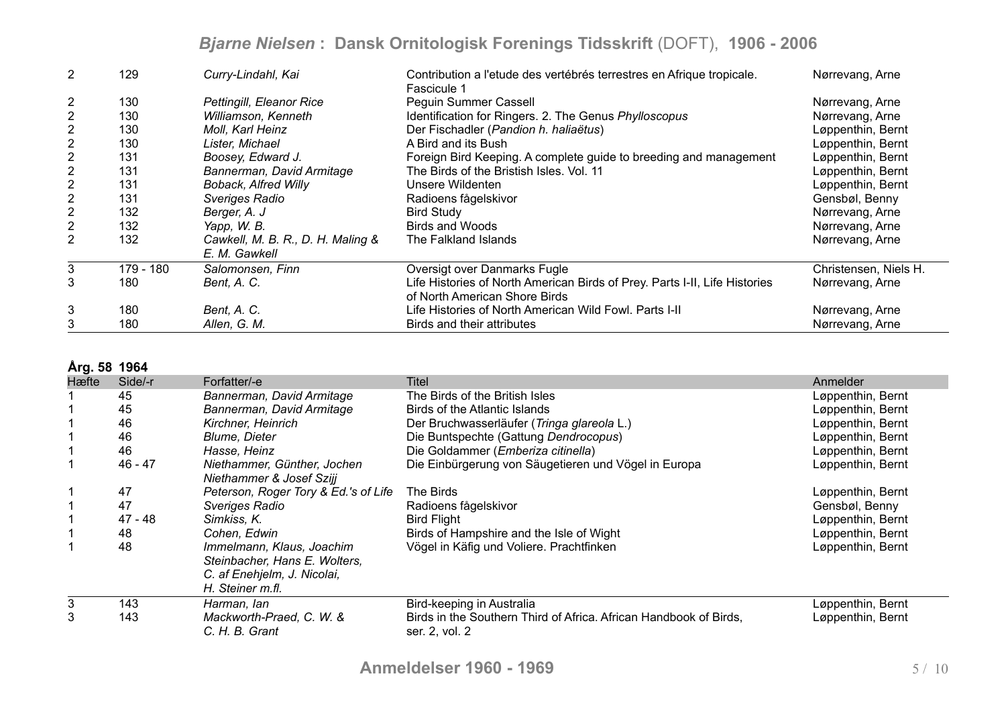| 2              | 129       | Curry-Lindahl, Kai                | Contribution a l'etude des vertébrés terrestres en Afrique tropicale.<br>Fascicule 1 | Nørrevang, Arne       |
|----------------|-----------|-----------------------------------|--------------------------------------------------------------------------------------|-----------------------|
| 2              | 130       | Pettingill, Eleanor Rice          | Pequin Summer Cassell                                                                | Nørrevang, Arne       |
| $\overline{2}$ | 130       | Williamson, Kenneth               | Identification for Ringers. 2. The Genus Phylloscopus                                | Nørrevang, Arne       |
| 2              | 130       | Moll, Karl Heinz                  | Der Fischadler (Pandion h. haliaëtus)                                                | Løppenthin, Bernt     |
| 2              | 130       | Lister, Michael                   | A Bird and its Bush                                                                  | Løppenthin, Bernt     |
| 2              | 131       | Boosey, Edward J.                 | Foreign Bird Keeping. A complete guide to breeding and management                    | Løppenthin, Bernt     |
| $\mathbf{2}$   | 131       | Bannerman, David Armitage         | The Birds of the Bristish Isles. Vol. 11                                             | Løppenthin, Bernt     |
| 2              | 131       | <b>Boback, Alfred Willy</b>       | Unsere Wildenten                                                                     | Løppenthin, Bernt     |
| 2              | 131       | Sveriges Radio                    | Radioens fågelskivor                                                                 | Gensbøl, Benny        |
| 2              | 132       | Berger, A. J                      | <b>Bird Study</b>                                                                    | Nørrevang, Arne       |
| $\mathbf{2}$   | 132       | Yapp, W. B.                       | <b>Birds and Woods</b>                                                               | Nørrevang, Arne       |
| 2              | 132       | Cawkell, M. B. R., D. H. Maling & | The Falkland Islands                                                                 | Nørrevang, Arne       |
|                |           | E. M. Gawkell                     |                                                                                      |                       |
| 3              | 179 - 180 | Salomonsen, Finn                  | Oversigt over Danmarks Fugle                                                         | Christensen, Niels H. |
| 3              | 180       | Bent, A. C.                       | Life Histories of North American Birds of Prey. Parts I-II, Life Histories           | Nørrevang, Arne       |
|                |           |                                   | of North American Shore Birds                                                        |                       |
| 3              | 180       | Bent, A. C.                       | Life Histories of North American Wild Fowl. Parts I-II                               | Nørrevang, Arne       |
| 3              | 180       | Allen, G. M.                      | Birds and their attributes                                                           | Nørrevang, Arne       |

#### **Årg. 58 1964**

| Hæfte | Side/-r   | Forfatter/-e                                                                                                  | <b>Titel</b>                                                                        | Anmelder          |
|-------|-----------|---------------------------------------------------------------------------------------------------------------|-------------------------------------------------------------------------------------|-------------------|
|       | 45        | Bannerman, David Armitage                                                                                     | The Birds of the British Isles                                                      | Løppenthin, Bernt |
|       | 45        | Bannerman, David Armitage                                                                                     | Birds of the Atlantic Islands                                                       | Løppenthin, Bernt |
|       | 46        | Kirchner, Heinrich                                                                                            | Der Bruchwasserläufer (Tringa glareola L.)                                          | Løppenthin, Bernt |
|       | 46        | <b>Blume, Dieter</b>                                                                                          | Die Buntspechte (Gattung Dendrocopus)                                               | Løppenthin, Bernt |
|       | 46        | Hasse, Heinz                                                                                                  | Die Goldammer (Emberiza citinella)                                                  | Løppenthin, Bernt |
|       | $46 - 47$ | Niethammer, Günther, Jochen<br>Niethammer & Josef Szijj                                                       | Die Einbürgerung von Säugetieren und Vögel in Europa                                | Løppenthin, Bernt |
|       | 47        | Peterson, Roger Tory & Ed.'s of Life                                                                          | The Birds                                                                           | Løppenthin, Bernt |
|       | 47        | Sveriges Radio                                                                                                | Radioens fågelskivor                                                                | Gensbøl, Benny    |
|       | 47 - 48   | Simkiss, K.                                                                                                   | <b>Bird Flight</b>                                                                  | Løppenthin, Bernt |
|       | 48        | Cohen, Edwin                                                                                                  | Birds of Hampshire and the Isle of Wight                                            | Løppenthin, Bernt |
|       | 48        | Immelmann, Klaus, Joachim<br>Steinbacher, Hans E. Wolters,<br>C. af Enehjelm, J. Nicolai,<br>H. Steiner m.fl. | Vögel in Käfig und Voliere. Prachtfinken                                            | Løppenthin, Bernt |
| 3     | 143       | Harman, lan                                                                                                   | Bird-keeping in Australia                                                           | Løppenthin, Bernt |
| 3     | 143       | Mackworth-Praed, C. W. &<br>C. H. B. Grant                                                                    | Birds in the Southern Third of Africa. African Handbook of Birds,<br>ser. 2, vol. 2 | Løppenthin, Bernt |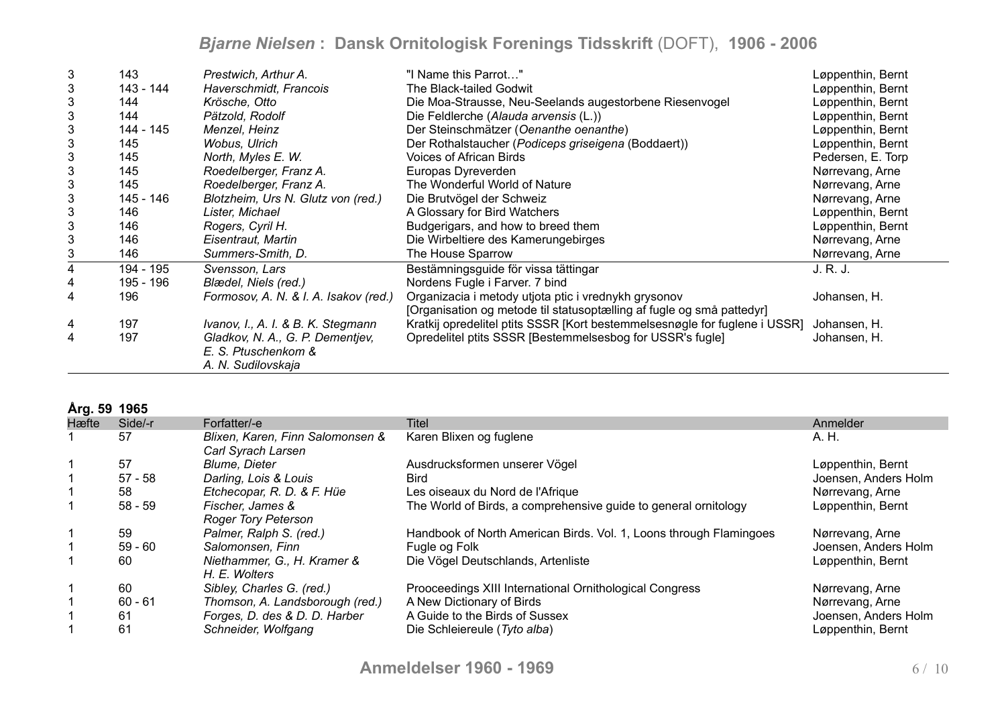| 3                         | 143       | Prestwich, Arthur A.                  | "I Name this Parrot"                                                       | Løppenthin, Bernt |
|---------------------------|-----------|---------------------------------------|----------------------------------------------------------------------------|-------------------|
| 3                         | 143 - 144 | Haverschmidt, Francois                | The Black-tailed Godwit                                                    | Løppenthin, Bernt |
| 3                         | 144       | Krösche, Otto                         | Die Moa-Strausse, Neu-Seelands augestorbene Riesenvogel                    | Løppenthin, Bernt |
| 3                         | 144       | Pätzold, Rodolf                       | Die Feldlerche (Alauda arvensis (L.))                                      | Løppenthin, Bernt |
| 3                         | 144 - 145 | Menzel, Heinz                         | Der Steinschmätzer (Oenanthe oenanthe)                                     | Løppenthin, Bernt |
| 3                         | 145       | Wobus, Ulrich                         | Der Rothalstaucher (Podiceps griseigena (Boddaert))                        | Løppenthin, Bernt |
| $\ensuremath{\mathsf{3}}$ | 145       | North, Myles E. W.                    | <b>Voices of African Birds</b>                                             | Pedersen, E. Torp |
| 3                         | 145       | Roedelberger, Franz A.                | Europas Dyreverden                                                         | Nørrevang, Arne   |
| 3                         | 145       | Roedelberger, Franz A.                | The Wonderful World of Nature                                              | Nørrevang, Arne   |
| $\mathbf{3}$              | 145 - 146 | Blotzheim, Urs N. Glutz von (red.)    | Die Brutvögel der Schweiz                                                  | Nørrevang, Arne   |
| 3                         | 146       | Lister, Michael                       | A Glossary for Bird Watchers                                               | Løppenthin, Bernt |
| 3                         | 146       | Rogers, Cyril H.                      | Budgerigars, and how to breed them                                         | Løppenthin, Bernt |
| 3                         | 146       | Eisentraut, Martin                    | Die Wirbeltiere des Kamerungebirges                                        | Nørrevang, Arne   |
| 3                         | 146       | Summers-Smith, D.                     | The House Sparrow                                                          | Nørrevang, Arne   |
| 4                         | 194 - 195 | Svensson, Lars                        | Bestämningsguide för vissa tättingar                                       | J. R. J.          |
|                           | 195 - 196 | Blædel, Niels (red.)                  | Nordens Fugle i Farver. 7 bind                                             |                   |
| 4                         | 196       | Formosov, A. N. & I. A. Isakov (red.) | Organizacia i metody utjota ptic i vrednykh grysonov                       | Johansen, H.      |
|                           |           |                                       | [Organisation og metode til statusoptælling af fugle og små pattedyr]      |                   |
| 4                         | 197       | Ivanov, I., A. I. & B. K. Stegmann    | Kratkij opredelitel ptits SSSR [Kort bestemmelsesnøgle for fuglene i USSR] | Johansen, H.      |
| 4                         | 197       | Gladkov, N. A., G. P. Dementjev,      | Opredelitel ptits SSSR [Bestemmelsesbog for USSR's fugle]                  | Johansen, H.      |
|                           |           | E. S. Ptuschenkom &                   |                                                                            |                   |
|                           |           | A. N. Sudilovskaja                    |                                                                            |                   |

### **Årg. 59 1965**

| Hæfte | Side/-r   | Forfatter/-e                                           | Titel                                                              | Anmelder             |
|-------|-----------|--------------------------------------------------------|--------------------------------------------------------------------|----------------------|
|       | 57        | Blixen, Karen, Finn Salomonsen &<br>Carl Syrach Larsen | Karen Blixen og fuglene                                            | A. H.                |
|       | 57        | <b>Blume, Dieter</b>                                   | Ausdrucksformen unserer Vögel                                      | Løppenthin, Bernt    |
|       | $57 - 58$ | Darling, Lois & Louis                                  | <b>Bird</b>                                                        | Joensen, Anders Holm |
|       | 58        | Etchecopar, R. D. & F. Hüe                             | Les oiseaux du Nord de l'Afrique                                   | Nørrevang, Arne      |
|       | $58 - 59$ | Fischer, James &<br><b>Roger Tory Peterson</b>         | The World of Birds, a comprehensive guide to general ornitology    | Løppenthin, Bernt    |
|       | 59        | Palmer, Ralph S. (red.)                                | Handbook of North American Birds. Vol. 1, Loons through Flamingoes | Nørrevang, Arne      |
|       | $59 - 60$ | Salomonsen, Finn                                       | Fugle og Folk                                                      | Joensen, Anders Holm |
|       | 60        | Niethammer, G., H. Kramer &<br>H. E. Wolters           | Die Vögel Deutschlands, Artenliste                                 | Løppenthin, Bernt    |
|       | 60        | Sibley, Charles G. (red.)                              | Prooceedings XIII International Ornithological Congress            | Nørrevang, Arne      |
|       | $60 - 61$ | Thomson, A. Landsborough (red.)                        | A New Dictionary of Birds                                          | Nørrevang, Arne      |
|       | -61       | Forges, D. des & D. D. Harber                          | A Guide to the Birds of Sussex                                     | Joensen, Anders Holm |
|       | 61        | Schneider, Wolfgang                                    | Die Schleiereule (Tyto alba)                                       | Løppenthin, Bernt    |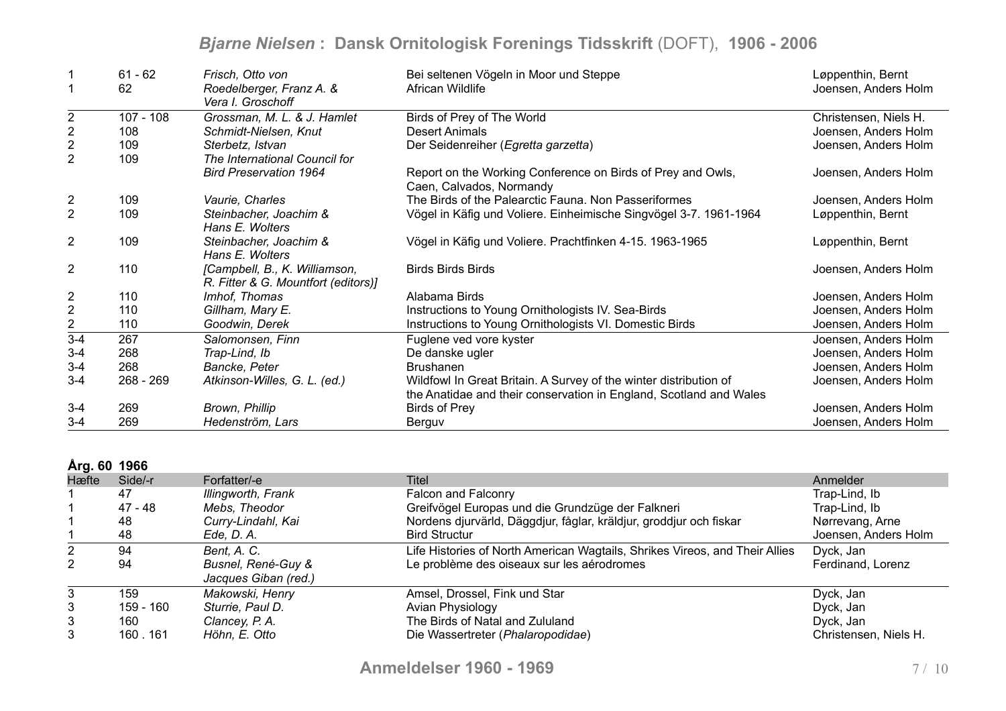|                  | $61 - 62$   | Frisch, Otto von                              | Bei seltenen Vögeln in Moor und Steppe                                                  | Løppenthin, Bernt     |
|------------------|-------------|-----------------------------------------------|-----------------------------------------------------------------------------------------|-----------------------|
| $\mathbf 1$      | 62          | Roedelberger, Franz A. &<br>Vera I. Groschoff | African Wildlife                                                                        | Joensen, Anders Holm  |
| $\boldsymbol{2}$ | $107 - 108$ | Grossman, M. L. & J. Hamlet                   | Birds of Prey of The World                                                              | Christensen, Niels H. |
| $\mathbf 2$      | 108         | Schmidt-Nielsen, Knut                         | <b>Desert Animals</b>                                                                   | Joensen, Anders Holm  |
| $\boldsymbol{2}$ | 109         | Sterbetz, Istvan                              | Der Seidenreiher (Egretta garzetta)                                                     | Joensen, Anders Holm  |
| $\overline{2}$   | 109         | The International Council for                 |                                                                                         |                       |
|                  |             | <b>Bird Preservation 1964</b>                 | Report on the Working Conference on Birds of Prey and Owls,<br>Caen, Calvados, Normandy | Joensen, Anders Holm  |
| $\overline{2}$   | 109         | Vaurie, Charles                               | The Birds of the Palearctic Fauna. Non Passeriformes                                    | Joensen, Anders Holm  |
| $\overline{2}$   | 109         | Steinbacher, Joachim &                        | Vögel in Käfig und Voliere. Einheimische Singvögel 3-7. 1961-1964                       | Løppenthin, Bernt     |
|                  |             | Hans E. Wolters                               |                                                                                         |                       |
| $\overline{2}$   | 109         | Steinbacher, Joachim &                        | Vögel in Käfig und Voliere. Prachtfinken 4-15. 1963-1965                                | Løppenthin, Bernt     |
|                  |             | Hans E. Wolters                               |                                                                                         |                       |
| $\overline{2}$   | 110         | [Campbell, B., K. Williamson,                 | <b>Birds Birds Birds</b>                                                                | Joensen, Anders Holm  |
|                  |             | R. Fitter & G. Mountfort (editors)]           |                                                                                         |                       |
| $\overline{c}$   | 110         | Imhof, Thomas                                 | Alabama Birds                                                                           | Joensen, Anders Holm  |
| $\mathbf 2$      | 110         | Gillham, Mary E.                              | Instructions to Young Ornithologists IV. Sea-Birds                                      | Joensen, Anders Holm  |
| $\overline{2}$   | 110         | Goodwin, Derek                                | Instructions to Young Ornithologists VI. Domestic Birds                                 | Joensen, Anders Holm  |
| $\overline{3-4}$ | 267         | Salomonsen, Finn                              | Fuglene ved vore kyster                                                                 | Joensen, Anders Holm  |
| $3 - 4$          | 268         | Trap-Lind, Ib                                 | De danske ugler                                                                         | Joensen, Anders Holm  |
| $3 - 4$          | 268         | Bancke, Peter                                 | <b>Brushanen</b>                                                                        | Joensen, Anders Holm  |
| $3 - 4$          | $268 - 269$ | Atkinson-Willes, G. L. (ed.)                  | Wildfowl In Great Britain. A Survey of the winter distribution of                       | Joensen, Anders Holm  |
|                  |             |                                               | the Anatidae and their conservation in England, Scotland and Wales                      |                       |
| $3 - 4$          | 269         | Brown, Phillip                                | <b>Birds of Prey</b>                                                                    | Joensen, Anders Holm  |
| $3 - 4$          | 269         | Hedenström, Lars                              | Berguv                                                                                  | Joensen, Anders Holm  |

#### **Årg. 60 1966**

| $M1$ vv 1000 |           |                                            |                                                                             |                       |
|--------------|-----------|--------------------------------------------|-----------------------------------------------------------------------------|-----------------------|
| Hæfte        | Side/-r   | Forfatter/-e                               | Titel                                                                       | Anmelder              |
|              | 47        | Illingworth, Frank                         | Falcon and Falconry                                                         | Trap-Lind, Ib         |
|              | 47 - 48   | Mebs, Theodor                              | Greifvögel Europas und die Grundzüge der Falkneri                           | Trap-Lind, Ib         |
|              | 48        | Curry-Lindahl, Kai                         | Nordens djurvärld, Däggdjur, fåglar, kräldjur, groddjur och fiskar          | Nørrevang, Arne       |
|              | 48        | Ede, D. A.                                 | <b>Bird Structur</b>                                                        | Joensen, Anders Holm  |
|              | 94        | Bent, A. C.                                | Life Histories of North American Wagtails, Shrikes Vireos, and Their Allies | Dyck, Jan             |
| 2            | 94        | Busnel, René-Guy &<br>Jacques Giban (red.) | Le problème des oiseaux sur les aérodromes                                  | Ferdinand, Lorenz     |
| 3            | 159       | Makowski, Henry                            | Amsel, Drossel, Fink und Star                                               | Dyck, Jan             |
| 3            | 159 - 160 | Sturrie, Paul D.                           | Avian Physiology                                                            | Dyck, Jan             |
| 3            | 160       | Clancey, P. A.                             | The Birds of Natal and Zululand                                             | Dyck, Jan             |
| 3            | 160.161   | Höhn, E. Otto                              | Die Wassertreter (Phalaropodidae)                                           | Christensen, Niels H. |
|              |           |                                            |                                                                             |                       |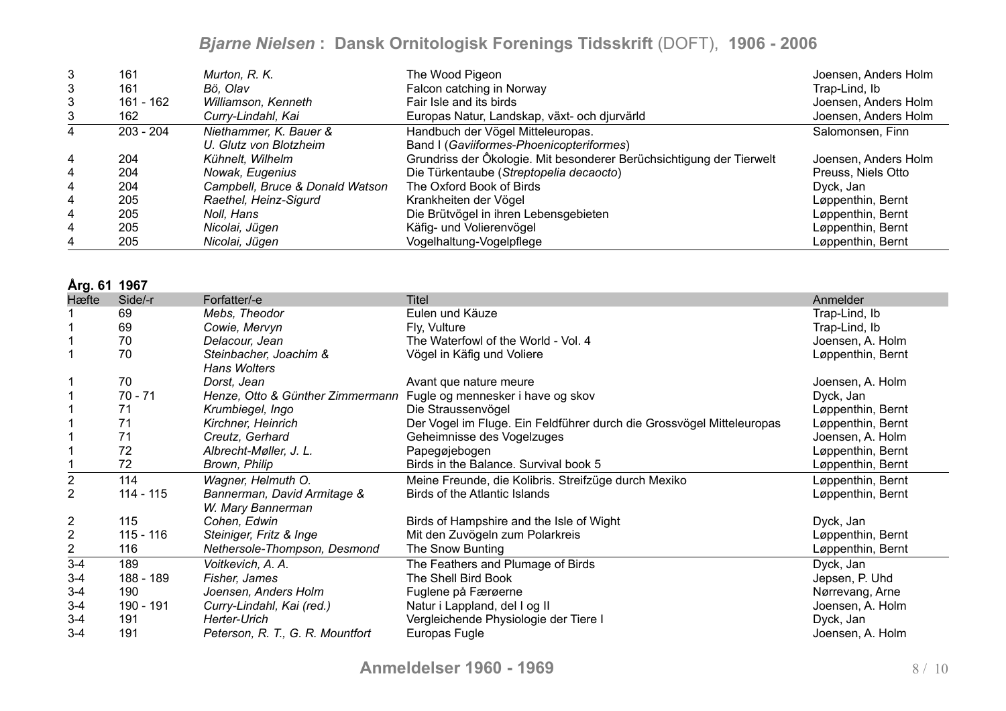| 3              | 161         | Murton, R. K.                   | The Wood Pigeon                                                      | Joensen, Anders Holm |
|----------------|-------------|---------------------------------|----------------------------------------------------------------------|----------------------|
| 3              | 161         | Bö. Olav                        | Falcon catching in Norway                                            | Trap-Lind, Ib        |
| 3              | 161 - 162   | Williamson, Kenneth             | Fair Isle and its birds                                              | Joensen, Anders Holm |
| 3              | 162         | Curry-Lindahl, Kai              | Europas Natur, Landskap, växt- och djurvärld                         | Joensen, Anders Holm |
| 4              | $203 - 204$ | Niethammer, K. Bauer &          | Handbuch der Vögel Mitteleuropas.                                    | Salomonsen, Finn     |
|                |             | U. Glutz von Blotzheim          | Band I (Gaviiformes-Phoenicopteriformes)                             |                      |
| $\overline{4}$ | 204         | Kühnelt, Wilhelm                | Grundriss der Ökologie. Mit besonderer Berüchsichtigung der Tierwelt | Joensen, Anders Holm |
| $\overline{4}$ | 204         | Nowak, Eugenius                 | Die Türkentaube (Streptopelia decaocto)                              | Preuss, Niels Otto   |
| 4              | 204         | Campbell, Bruce & Donald Watson | The Oxford Book of Birds                                             | Dyck, Jan            |
| 4              | 205         | Raethel, Heinz-Sigurd           | Krankheiten der Vögel                                                | Løppenthin, Bernt    |
| 4              | 205         | Noll, Hans                      | Die Brütvögel in ihren Lebensgebieten                                | Løppenthin, Bernt    |
| 4              | 205         | Nicolai, Jügen                  | Käfig- und Volierenvögel                                             | Løppenthin, Bernt    |
| 4              | 205         | Nicolai, Jügen                  | Vogelhaltung-Vogelpflege                                             | Løppenthin, Bernt    |

**Årg. 61 1967**

| וטטו וטישור    |             |                                  |                                                                       |                   |
|----------------|-------------|----------------------------------|-----------------------------------------------------------------------|-------------------|
| Hæfte          | Side/-r     | Forfatter/-e                     | <b>Titel</b>                                                          | Anmelder          |
|                | 69          | Mebs, Theodor                    | Eulen und Käuze                                                       | Trap-Lind, Ib     |
|                | 69          | Cowie, Mervyn                    | Fly, Vulture                                                          | Trap-Lind, Ib     |
|                | 70          | Delacour, Jean                   | The Waterfowl of the World - Vol. 4                                   | Joensen, A. Holm  |
|                | 70          | Steinbacher, Joachim &           | Vögel in Käfig und Voliere                                            | Løppenthin, Bernt |
|                |             | Hans Wolters                     |                                                                       |                   |
|                | 70          | Dorst, Jean                      | Avant que nature meure                                                | Joensen, A. Holm  |
|                | $70 - 71$   | Henze, Otto & Günther Zimmermann | Fugle og mennesker i have og skov                                     | Dyck, Jan         |
|                | 71          | Krumbiegel, Ingo                 | Die Straussenvögel                                                    | Løppenthin, Bernt |
|                | 71          | Kirchner, Heinrich               | Der Vogel im Fluge. Ein Feldführer durch die Grossvögel Mitteleuropas | Løppenthin, Bernt |
|                | 71          | Creutz, Gerhard                  | Geheimnisse des Vogelzuges                                            | Joensen, A. Holm  |
|                | 72          | Albrecht-Møller, J. L.           | Papegøjebogen                                                         | Løppenthin, Bernt |
|                | 72          | Brown, Philip                    | Birds in the Balance. Survival book 5                                 | Løppenthin, Bernt |
| $\overline{2}$ | 114         | Wagner, Helmuth O.               | Meine Freunde, die Kolibris. Streifzüge durch Mexiko                  | Løppenthin, Bernt |
| $\overline{2}$ | 114 - 115   | Bannerman, David Armitage &      | Birds of the Atlantic Islands                                         | Løppenthin, Bernt |
|                |             | W. Mary Bannerman                |                                                                       |                   |
| $\overline{2}$ | 115         | Cohen, Edwin                     | Birds of Hampshire and the Isle of Wight                              | Dyck, Jan         |
| $\overline{2}$ | $115 - 116$ | Steiniger, Fritz & Inge          | Mit den Zuvögeln zum Polarkreis                                       | Løppenthin, Bernt |
| $\overline{2}$ | 116         | Nethersole-Thompson, Desmond     | The Snow Bunting                                                      | Løppenthin, Bernt |
| $3 - 4$        | 189         | Voitkevich, A. A.                | The Feathers and Plumage of Birds                                     | Dyck, Jan         |
| $3 - 4$        | 188 - 189   | Fisher, James                    | The Shell Bird Book                                                   | Jepsen, P. Uhd    |
| $3 - 4$        | 190         | Joensen, Anders Holm             | Fuglene på Færøerne                                                   | Nørrevang, Arne   |
| $3 - 4$        | 190 - 191   | Curry-Lindahl, Kai (red.)        | Natur i Lappland, del I og II                                         | Joensen, A. Holm  |
| $3 - 4$        | 191         | Herter-Urich                     | Vergleichende Physiologie der Tiere I                                 | Dyck, Jan         |
| $3 - 4$        | 191         | Peterson, R. T., G. R. Mountfort | Europas Fugle                                                         | Joensen, A. Holm  |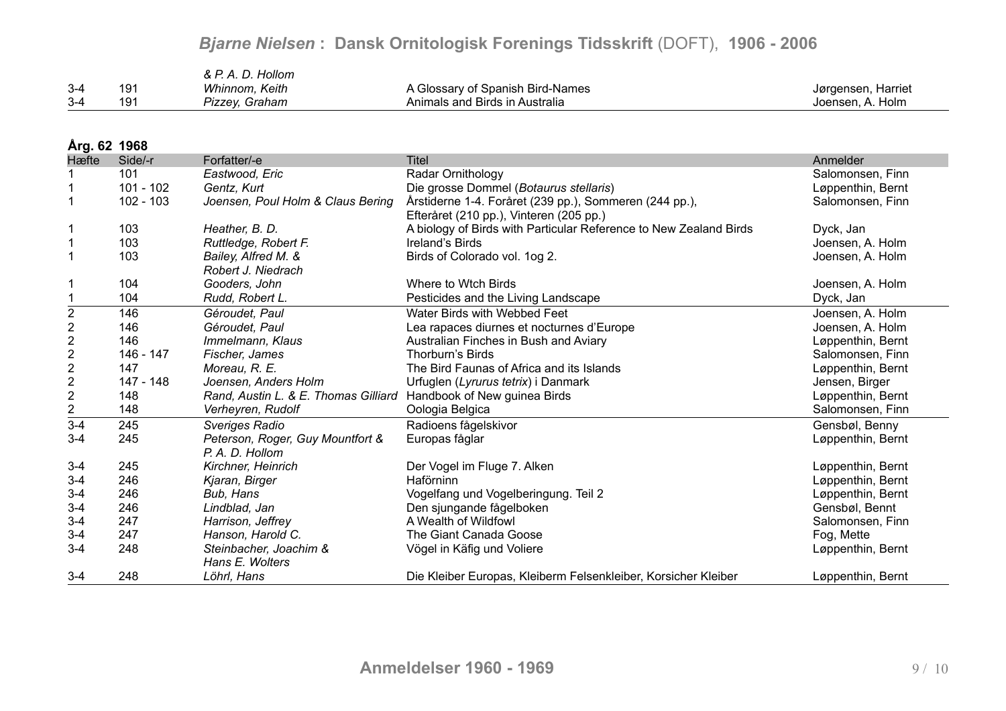|       |     | & P. A. D. Hollom |                                  |                    |
|-------|-----|-------------------|----------------------------------|--------------------|
| $3-4$ | 19٬ | Whinnom, Keith    | A Glossary of Spanish Bird-Names | Jørgensen, Harriet |
| $3-4$ | 19٬ | Pizzey, Graham    | Animals and Birds in Australia   | Joensen, A. Holm   |

#### **Årg. 62 1968**

| Hæfte                                      | Side/-r     | Forfatter/-e                         | <b>Titel</b>                                                      | Anmelder          |
|--------------------------------------------|-------------|--------------------------------------|-------------------------------------------------------------------|-------------------|
|                                            | 101         | Eastwood, Eric                       | Radar Ornithology                                                 | Salomonsen, Finn  |
|                                            | $101 - 102$ | Gentz, Kurt                          | Die grosse Dommel (Botaurus stellaris)                            | Løppenthin, Bernt |
|                                            | $102 - 103$ | Joensen, Poul Holm & Claus Bering    | Årstiderne 1-4. Foråret (239 pp.), Sommeren (244 pp.),            | Salomonsen, Finn  |
|                                            |             |                                      | Efteråret (210 pp.), Vinteren (205 pp.)                           |                   |
|                                            | 103         | Heather, B. D.                       | A biology of Birds with Particular Reference to New Zealand Birds | Dyck, Jan         |
| $\mathbf 1$                                | 103         | Ruttledge, Robert F.                 | Ireland's Birds                                                   | Joensen, A. Holm  |
| $\overline{1}$                             | 103         | Bailey, Alfred M. &                  | Birds of Colorado vol. 1og 2.                                     | Joensen, A. Holm  |
|                                            |             | Robert J. Niedrach                   |                                                                   |                   |
| -1                                         | 104         | Gooders, John                        | Where to Wtch Birds                                               | Joensen, A. Holm  |
|                                            | 104         | Rudd, Robert L.                      | Pesticides and the Living Landscape                               | Dyck, Jan         |
| $\overline{2}$                             | 146         | Géroudet, Paul                       | Water Birds with Webbed Feet                                      | Joensen, A. Holm  |
| $\frac{2}{2}$                              | 146         | Géroudet, Paul                       | Lea rapaces diurnes et nocturnes d'Europe                         | Joensen, A. Holm  |
|                                            | 146         | Immelmann, Klaus                     | Australian Finches in Bush and Aviary                             | Løppenthin, Bernt |
| $\begin{array}{c} 2 \\ 2 \\ 2 \end{array}$ | 146 - 147   | Fischer, James                       | Thorburn's Birds                                                  | Salomonsen, Finn  |
|                                            | 147         | Moreau, R. E.                        | The Bird Faunas of Africa and its Islands                         | Løppenthin, Bernt |
|                                            | 147 - 148   | Joensen, Anders Holm                 | Urfuglen (Lyrurus tetrix) i Danmark                               | Jensen, Birger    |
| $\mathbf 2$                                | 148         | Rand, Austin L. & E. Thomas Gilliard | Handbook of New guinea Birds                                      | Løppenthin, Bernt |
| $\frac{2}{3-4}$                            | 148         | Verheyren, Rudolf                    | Oologia Belgica                                                   | Salomonsen, Finn  |
|                                            | 245         | <b>Sveriges Radio</b>                | Radioens fågelskivor                                              | Gensbøl, Benny    |
| $3 - 4$                                    | 245         | Peterson, Roger, Guy Mountfort &     | Europas fåglar                                                    | Løppenthin, Bernt |
|                                            |             | P. A. D. Hollom                      |                                                                   |                   |
| $3 - 4$                                    | 245         | Kirchner, Heinrich                   | Der Vogel im Fluge 7. Alken                                       | Løppenthin, Bernt |
| $3-4$                                      | 246         | Kjaran, Birger                       | Haförninn                                                         | Løppenthin, Bernt |
| $3-4$                                      | 246         | Bub, Hans                            | Vogelfang und Vogelberingung. Teil 2                              | Løppenthin, Bernt |
| $3-4$                                      | 246         | Lindblad, Jan                        | Den sjungande fågelboken                                          | Gensbøl, Bennt    |
| $3-4$                                      | 247         | Harrison, Jeffrey                    | A Wealth of Wildfowl                                              | Salomonsen, Finn  |
| $3-4$                                      | 247         | Hanson, Harold C.                    | The Giant Canada Goose                                            | Fog, Mette        |
| $3 - 4$                                    | 248         | Steinbacher, Joachim &               | Vögel in Käfig und Voliere                                        | Løppenthin, Bernt |
|                                            |             | Hans E. Wolters                      |                                                                   |                   |
| $3 - 4$                                    | 248         | Löhrl, Hans                          | Die Kleiber Europas, Kleiberm Felsenkleiber, Korsicher Kleiber    | Løppenthin, Bernt |